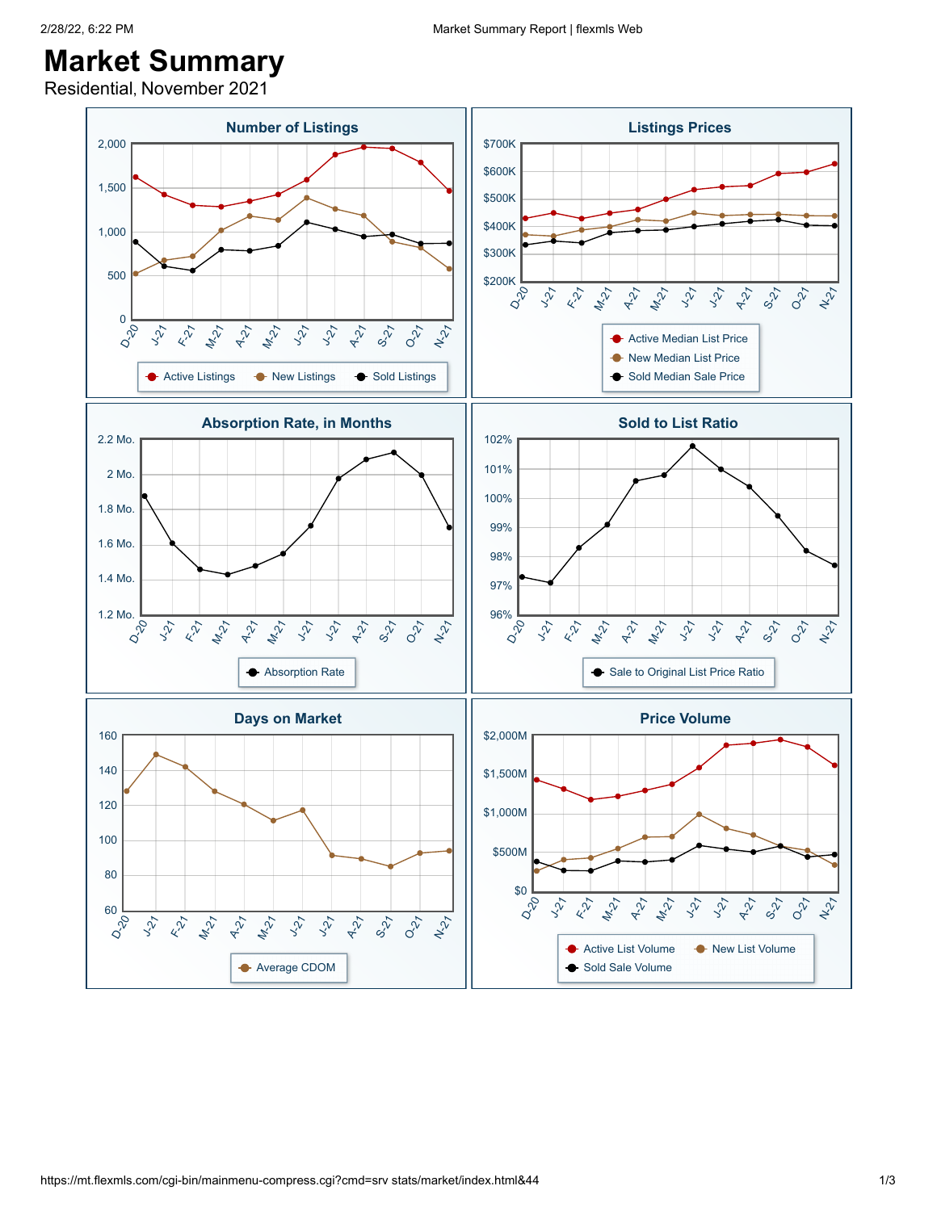## **Market Summary**

Residential, November 2021

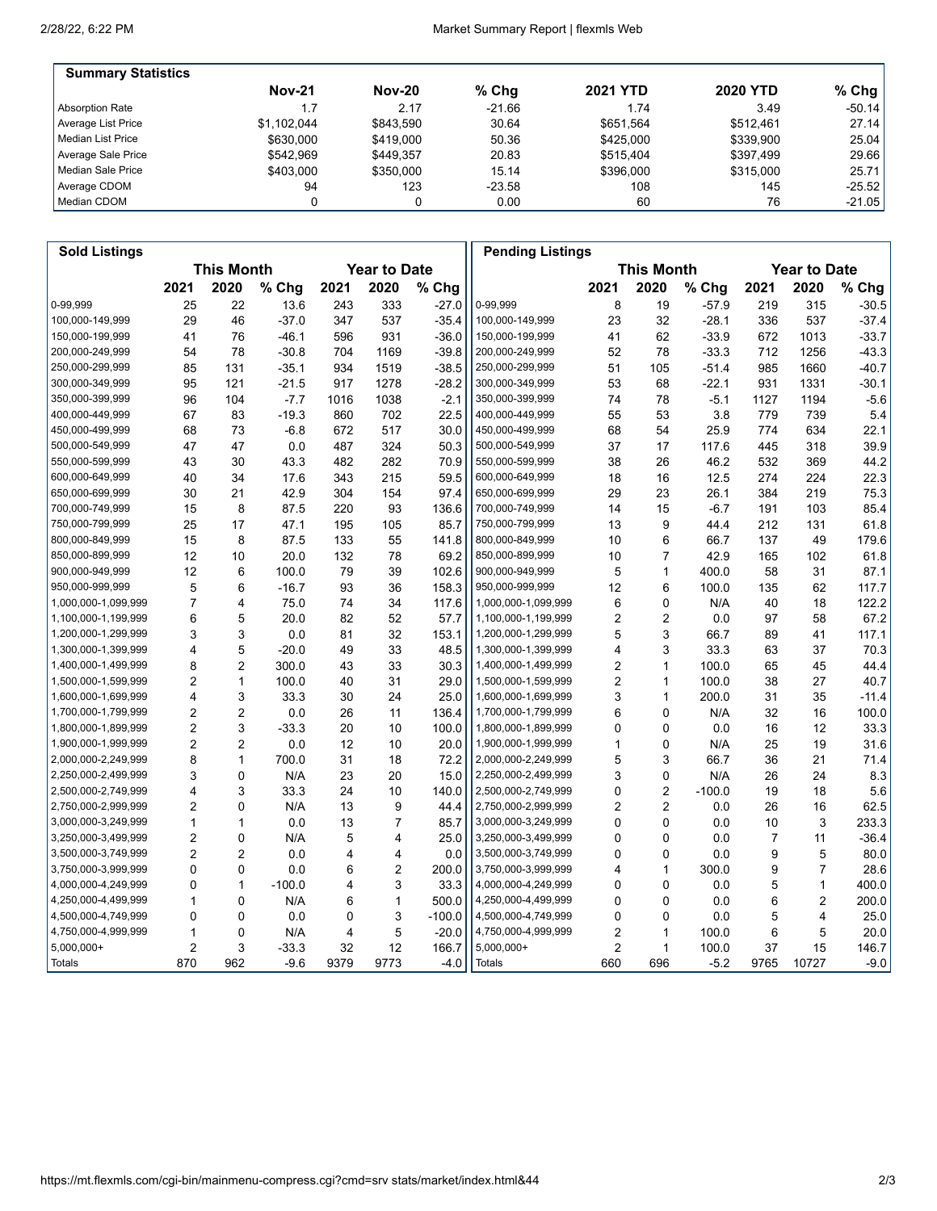'n

| <b>Summary Statistics</b> |               |               |          |                 |                 |           |
|---------------------------|---------------|---------------|----------|-----------------|-----------------|-----------|
|                           | <b>Nov-21</b> | <b>Nov-20</b> | $%$ Chq  | <b>2021 YTD</b> | <b>2020 YTD</b> | % Chg $ $ |
| Absorption Rate           | 1.7           | 2.17          | $-21.66$ | 1.74            | 3.49            | $-50.14$  |
| Average List Price        | \$1.102.044   | \$843.590     | 30.64    | \$651.564       | \$512.461       | 27.14     |
| l Median List Price       | \$630,000     | \$419,000     | 50.36    | \$425,000       | \$339.900       | 25.04     |
| Average Sale Price        | \$542.969     | \$449.357     | 20.83    | \$515,404       | \$397.499       | 29.66     |
| Median Sale Price         | \$403,000     | \$350,000     | 15.14    | \$396,000       | \$315,000       | 25.71     |
| Average CDOM              | 94            | 123           | $-23.58$ | 108             | 145             | $-25.52$  |
| Median CDOM               |               |               | 0.00     | 60              | 76              | $-21.05$  |

| <b>Sold Listings</b> |                                          |                |          |      |                   |          | <b>Pending Listings</b> |                  |                  |                     |                |                |         |
|----------------------|------------------------------------------|----------------|----------|------|-------------------|----------|-------------------------|------------------|------------------|---------------------|----------------|----------------|---------|
|                      | <b>This Month</b><br><b>Year to Date</b> |                |          |      | <b>This Month</b> |          |                         |                  |                  | <b>Year to Date</b> |                |                |         |
|                      | 2021                                     | 2020           | % Chg    | 2021 | 2020              | % Chg    |                         | 2021             | 2020             | % Chg               | 2021           | 2020           | % Chg   |
| 0-99,999             | 25                                       | 22             | 13.6     | 243  | 333               | $-27.0$  | 0-99,999                | 8                | 19               | $-57.9$             | 219            | 315            | $-30.5$ |
| 100,000-149,999      | 29                                       | 46             | $-37.0$  | 347  | 537               | $-35.4$  | 100,000-149,999         | 23               | 32               | $-28.1$             | 336            | 537            | $-37.4$ |
| 150,000-199,999      | 41                                       | 76             | $-46.1$  | 596  | 931               | $-36.0$  | 150,000-199,999         | 41               | 62               | $-33.9$             | 672            | 1013           | $-33.7$ |
| 200,000-249,999      | 54                                       | 78             | $-30.8$  | 704  | 1169              | $-39.8$  | 200,000-249,999         | 52               | 78               | $-33.3$             | 712            | 1256           | $-43.3$ |
| 250,000-299,999      | 85                                       | 131            | -35.1    | 934  | 1519              | $-38.5$  | 250,000-299,999         | 51               | 105              | $-51.4$             | 985            | 1660           | $-40.7$ |
| 300,000-349,999      | 95                                       | 121            | $-21.5$  | 917  | 1278              | $-28.2$  | 300,000-349,999         | 53               | 68               | $-22.1$             | 931            | 1331           | $-30.1$ |
| 350,000-399,999      | 96                                       | 104            | $-7.7$   | 1016 | 1038              | $-2.1$   | 350,000-399,999         | 74               | 78               | $-5.1$              | 1127           | 1194           | $-5.6$  |
| 400,000-449,999      | 67                                       | 83             | $-19.3$  | 860  | 702               | 22.5     | 400,000-449,999         | 55               | 53               | 3.8                 | 779            | 739            | 5.4     |
| 450,000-499,999      | 68                                       | 73             | $-6.8$   | 672  | 517               | 30.0     | 450,000-499,999         | 68               | 54               | 25.9                | 774            | 634            | 22.1    |
| 500,000-549,999      | 47                                       | 47             | 0.0      | 487  | 324               | 50.3     | 500,000-549,999         | 37               | 17               | 117.6               | 445            | 318            | 39.9    |
| 550,000-599,999      | 43                                       | 30             | 43.3     | 482  | 282               | 70.9     | 550,000-599,999         | 38               | 26               | 46.2                | 532            | 369            | 44.2    |
| 600,000-649,999      | 40                                       | 34             | 17.6     | 343  | 215               | 59.5     | 600,000-649,999         | 18               | 16               | 12.5                | 274            | 224            | 22.3    |
| 650,000-699,999      | 30                                       | 21             | 42.9     | 304  | 154               | 97.4     | 650,000-699,999         | 29               | 23               | 26.1                | 384            | 219            | 75.3    |
| 700,000-749,999      | 15                                       | 8              | 87.5     | 220  | 93                | 136.6    | 700,000-749,999         | 14               | 15               | $-6.7$              | 191            | 103            | 85.4    |
| 750,000-799,999      | 25                                       | 17             | 47.1     | 195  | 105               | 85.7     | 750,000-799,999         | 13               | 9                | 44.4                | 212            | 131            | 61.8    |
| 800,000-849,999      | 15                                       | 8              | 87.5     | 133  | 55                | 141.8    | 800,000-849,999         | 10               | 6                | 66.7                | 137            | 49             | 179.6   |
| 850,000-899,999      | 12                                       | 10             | 20.0     | 132  | 78                | 69.2     | 850,000-899,999         | 10               | $\overline{7}$   | 42.9                | 165            | 102            | 61.8    |
| 900,000-949,999      | 12                                       | 6              | 100.0    | 79   | 39                | 102.6    | 900,000-949,999         | 5                | $\mathbf{1}$     | 400.0               | 58             | 31             | 87.1    |
| 950,000-999,999      | 5                                        | 6              | $-16.7$  | 93   | 36                | 158.3    | 950,000-999,999         | 12               | 6                | 100.0               | 135            | 62             | 117.7   |
| 1,000,000-1,099,999  | $\overline{7}$                           | 4              | 75.0     | 74   | 34                | 117.6    | 1,000,000-1,099,999     | 6                | $\mathbf 0$      | N/A                 | 40             | 18             | 122.2   |
| 1,100,000-1,199,999  | 6                                        | 5              | 20.0     | 82   | 52                | 57.7     | 1,100,000-1,199,999     | $\boldsymbol{2}$ | $\boldsymbol{2}$ | 0.0                 | 97             | 58             | 67.2    |
| 1,200,000-1,299,999  | 3                                        | 3              | 0.0      | 81   | 32                | 153.1    | 1,200,000-1,299,999     | 5                | 3                | 66.7                | 89             | 41             | 117.1   |
| 1,300,000-1,399,999  | 4                                        | 5              | $-20.0$  | 49   | 33                | 48.5     | 1,300,000-1,399,999     | 4                | 3                | 33.3                | 63             | 37             | 70.3    |
| 1,400,000-1,499,999  | 8                                        | $\overline{2}$ | 300.0    | 43   | 33                | 30.3     | 1,400,000-1,499,999     | 2                | $\mathbf{1}$     | 100.0               | 65             | 45             | 44.4    |
| 1,500,000-1,599,999  | $\overline{2}$                           | $\mathbf{1}$   | 100.0    | 40   | 31                | 29.0     | 1,500,000-1,599,999     | $\overline{2}$   | $\mathbf{1}$     | 100.0               | 38             | 27             | 40.7    |
| 1,600,000-1,699,999  | 4                                        | 3              | 33.3     | 30   | 24                | 25.0     | 1,600,000-1,699,999     | 3                | $\mathbf{1}$     | 200.0               | 31             | 35             | $-11.4$ |
| 1,700,000-1,799,999  | $\overline{2}$                           | $\overline{2}$ | 0.0      | 26   | 11                | 136.4    | 1,700,000-1,799,999     | 6                | $\mathbf 0$      | N/A                 | 32             | 16             | 100.0   |
| 1,800,000-1,899,999  | $\overline{2}$                           | 3              | $-33.3$  | 20   | 10                | 100.0    | 1,800,000-1,899,999     | 0                | $\mathbf 0$      | 0.0                 | 16             | 12             | 33.3    |
| 1,900,000-1,999,999  | $\overline{2}$                           | $\overline{2}$ | 0.0      | 12   | 10                | 20.0     | 1,900,000-1,999,999     | 1                | $\mathbf 0$      | N/A                 | 25             | 19             | 31.6    |
| 2,000,000-2,249,999  | 8                                        | $\mathbf{1}$   | 700.0    | 31   | 18                | 72.2     | 2,000,000-2,249,999     | 5                | 3                | 66.7                | 36             | 21             | 71.4    |
| 2,250,000-2,499,999  | 3                                        | $\mathbf{0}$   | N/A      | 23   | 20                | 15.0     | 2,250,000-2,499,999     | 3                | $\mathbf 0$      | N/A                 | 26             | 24             | 8.3     |
| 2,500,000-2,749,999  | 4                                        | 3              | 33.3     | 24   | 10                | 140.0    | 2,500,000-2,749,999     | 0                | $\overline{c}$   | $-100.0$            | 19             | 18             | 5.6     |
| 2,750,000-2,999,999  | $\overline{2}$                           | $\mathbf 0$    | N/A      | 13   | 9                 | 44.4     | 2,750,000-2,999,999     | $\overline{2}$   | $\overline{2}$   | 0.0                 | 26             | 16             | 62.5    |
| 3,000,000-3,249,999  | $\mathbf{1}$                             | $\mathbf{1}$   | 0.0      | 13   | 7                 | 85.7     | 3,000,000-3,249,999     | 0                | $\mathbf 0$      | 0.0                 | 10             | 3              | 233.3   |
| 3,250,000-3,499,999  | $\overline{2}$                           | $\mathbf 0$    | N/A      | 5    | 4                 | 25.0     | 3,250,000-3,499,999     | 0                | $\mathbf 0$      | 0.0                 | $\overline{7}$ | 11             | $-36.4$ |
| 3,500,000-3,749,999  | 2                                        | $\overline{2}$ | 0.0      | 4    | 4                 | 0.0      | 3,500,000-3,749,999     | 0                | $\mathbf 0$      | 0.0                 | 9              | 5              | 80.0    |
| 3,750,000-3,999,999  | 0                                        | 0              | 0.0      | 6    | 2                 | 200.0    | 3,750,000-3,999,999     | 4                | 1                | 300.0               | 9              | $\overline{7}$ | 28.6    |
| 4,000,000-4,249,999  | 0                                        | $\mathbf{1}$   | $-100.0$ | 4    | 3                 | 33.3     | 4,000,000-4,249,999     | 0                | $\mathbf 0$      | 0.0                 | 5              | $\mathbf{1}$   | 400.0   |
| 4,250,000-4,499,999  | 1                                        | 0              | N/A      | 6    | $\mathbf{1}$      | 500.0    | 4,250,000-4,499,999     | 0                | $\mathbf 0$      | 0.0                 | 6              | 2              | 200.0   |
| 4,500,000-4,749,999  | 0                                        | $\mathbf 0$    | 0.0      | 0    | 3                 | $-100.0$ | 4,500,000-4,749,999     | 0                | 0                | 0.0                 | 5              | 4              | 25.0    |
| 4,750,000-4,999,999  | 1                                        | $\mathbf 0$    | N/A      | 4    | 5                 | $-20.0$  | 4,750,000-4,999,999     | 2                | $\mathbf{1}$     | 100.0               | 6              | 5              | 20.0    |
| $5,000,000+$         | $\overline{2}$                           | 3              | $-33.3$  | 32   | 12                | 166.7    | $5,000,000+$            | $\overline{2}$   | $\mathbf{1}$     | 100.0               | 37             | 15             | 146.7   |
| Totals               | 870                                      | 962            | $-9.6$   | 9379 | 9773              | $-4.0$   | Totals                  | 660              | 696              | $-5.2$              | 9765           | 10727          | $-9.0$  |